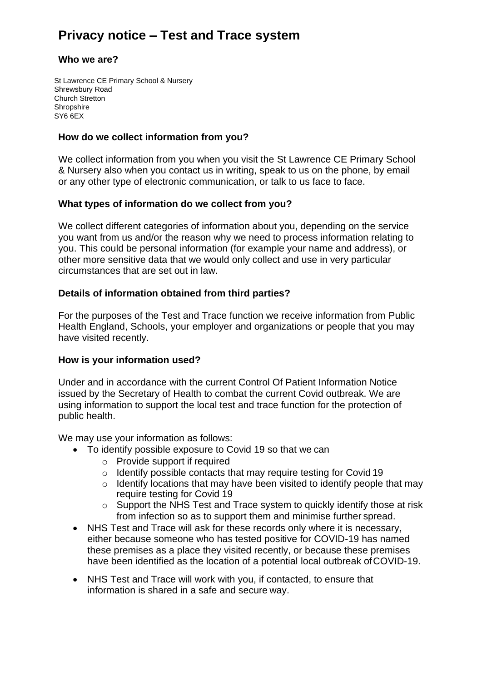# **Privacy notice – Test and Trace system**

## **Who we are?**

St Lawrence CE Primary School & Nursery Shrewsbury Road Church Stretton **Shropshire** SY6 6EX

# **How do we collect information from you?**

We collect information from you when you visit the St Lawrence CE Primary School & Nursery also when you contact us in writing, speak to us on the phone, by email or any other type of electronic communication, or talk to us face to face.

# **What types of information do we collect from you?**

We collect different categories of information about you, depending on the service you want from us and/or the reason why we need to process information relating to you. This could be personal information (for example your name and address), or other more sensitive data that we would only collect and use in very particular circumstances that are set out in law.

# **Details of information obtained from third parties?**

For the purposes of the Test and Trace function we receive information from Public Health England, Schools, your employer and organizations or people that you may have visited recently.

## **How is your information used?**

Under and in accordance with the current Control Of Patient Information Notice issued by the Secretary of Health to combat the current Covid outbreak. We are using information to support the local test and trace function for the protection of public health.

We may use your information as follows:

- To identify possible exposure to Covid 19 so that we can
	- o Provide support if required
	- o Identify possible contacts that may require testing for Covid 19
	- o Identify locations that may have been visited to identify people that may require testing for Covid 19
	- o Support the NHS Test and Trace system to quickly identify those at risk from infection so as to support them and minimise further spread.
- NHS Test and Trace will ask for these records only where it is necessary, either because someone who has tested positive for COVID-19 has named these premises as a place they visited recently, or because these premises have been identified as the location of a potential local outbreak of COVID-19.
- NHS Test and Trace will work with you, if contacted, to ensure that information is shared in a safe and secure way.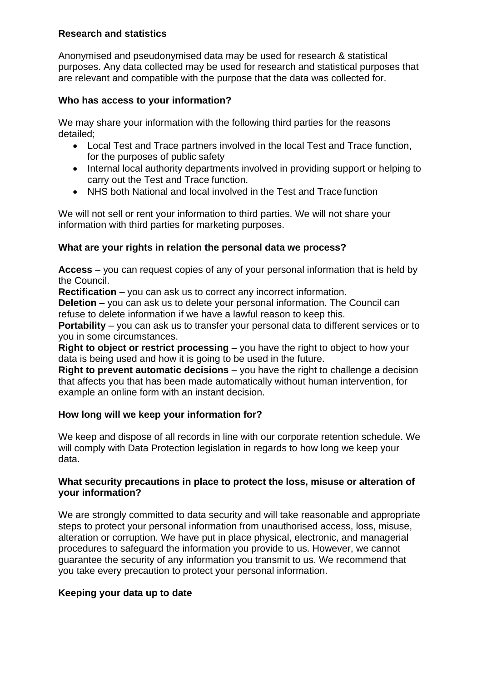# **Research and statistics**

Anonymised and pseudonymised data may be used for research & statistical purposes. Any data collected may be used for research and statistical purposes that are relevant and compatible with the purpose that the data was collected for.

# **Who has access to your information?**

We may share your information with the following third parties for the reasons detailed;

- Local Test and Trace partners involved in the local Test and Trace function, for the purposes of public safety
- Internal local authority departments involved in providing support or helping to carry out the Test and Trace function.
- NHS both National and local involved in the Test and Trace function

We will not sell or rent your information to third parties. We will not share your information with third parties for marketing purposes.

# **What are your rights in relation the personal data we process?**

**Access** – you can request copies of any of your personal information that is held by the Council.

**Rectification** – you can ask us to correct any incorrect information.

**Deletion** – you can ask us to delete your personal information. The Council can refuse to delete information if we have a lawful reason to keep this.

**Portability** – you can ask us to transfer your personal data to different services or to you in some circumstances.

**Right to object or restrict processing** – you have the right to object to how your data is being used and how it is going to be used in the future.

**Right to prevent automatic decisions** – you have the right to challenge a decision that affects you that has been made automatically without human intervention, for example an online form with an instant decision.

# **How long will we keep your information for?**

We keep and dispose of all records in line with our corporate retention schedule. We will comply with Data Protection legislation in regards to how long we keep your data.

## **What security precautions in place to protect the loss, misuse or alteration of your information?**

We are strongly committed to data security and will take reasonable and appropriate steps to protect your personal information from unauthorised access, loss, misuse, alteration or corruption. We have put in place physical, electronic, and managerial procedures to safeguard the information you provide to us. However, we cannot guarantee the security of any information you transmit to us. We recommend that you take every precaution to protect your personal information.

## **Keeping your data up to date**